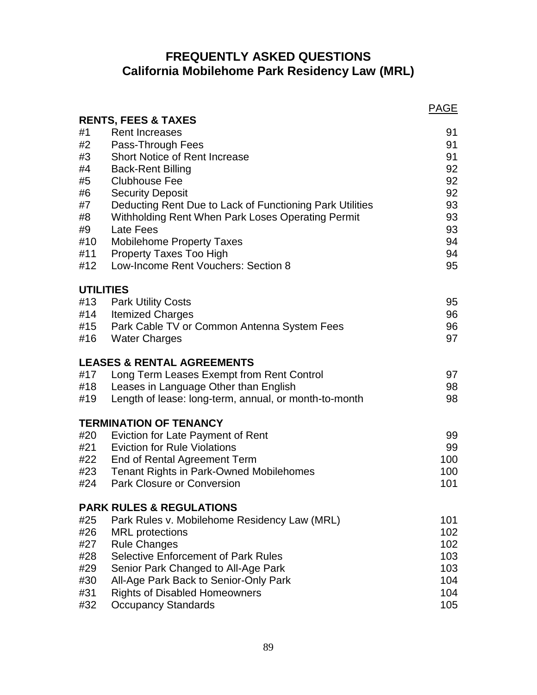# **FREQUENTLY ASKED QUESTIONS California Mobilehome Park Residency Law (MRL)**

|     | <b>RENTS, FEES &amp; TAXES</b>                           | <b>PAGE</b> |
|-----|----------------------------------------------------------|-------------|
| #1  | <b>Rent Increases</b>                                    | 91          |
| #2  | Pass-Through Fees                                        | 91          |
| #3  | <b>Short Notice of Rent Increase</b>                     | 91          |
| #4  | <b>Back-Rent Billing</b>                                 | 92          |
| #5  | <b>Clubhouse Fee</b>                                     | 92          |
| #6  | <b>Security Deposit</b>                                  | 92          |
| #7  | Deducting Rent Due to Lack of Functioning Park Utilities | 93          |
| #8  | Withholding Rent When Park Loses Operating Permit        | 93          |
| #9  | Late Fees                                                | 93          |
| #10 | <b>Mobilehome Property Taxes</b>                         | 94          |
| #11 | <b>Property Taxes Too High</b>                           | 94          |
| #12 | Low-Income Rent Vouchers: Section 8                      | 95          |
|     | <b>UTILITIES</b>                                         |             |
|     | #13 Park Utility Costs                                   | 95          |
|     | #14 Itemized Charges                                     | 96          |
|     | #15 Park Cable TV or Common Antenna System Fees          | 96          |
|     | #16 Water Charges                                        | 97          |
|     | <b>LEASES &amp; RENTAL AGREEMENTS</b>                    |             |
| #17 | Long Term Leases Exempt from Rent Control                | 97          |
| #18 | Leases in Language Other than English                    | 98          |
| #19 | Length of lease: long-term, annual, or month-to-month    | 98          |
|     | <b>TERMINATION OF TENANCY</b>                            |             |
| #20 | Eviction for Late Payment of Rent                        | 99          |
|     | #21 Eviction for Rule Violations                         | 99          |
|     | #22 End of Rental Agreement Term                         | 100         |
|     | #23 Tenant Rights in Park-Owned Mobilehomes              | 100         |
|     | #24 Park Closure or Conversion                           | 101         |
|     | <b>PARK RULES &amp; REGULATIONS</b>                      |             |
| #25 | Park Rules v. Mobilehome Residency Law (MRL)             | 101         |
| #26 | <b>MRL</b> protections                                   | 102         |
| #27 | <b>Rule Changes</b>                                      | 102         |
| #28 | <b>Selective Enforcement of Park Rules</b>               | 103         |
| #29 | Senior Park Changed to All-Age Park                      | 103         |
| #30 | All-Age Park Back to Senior-Only Park                    | 104         |
| #31 | <b>Rights of Disabled Homeowners</b>                     | 104         |
| #32 | <b>Occupancy Standards</b>                               | 105         |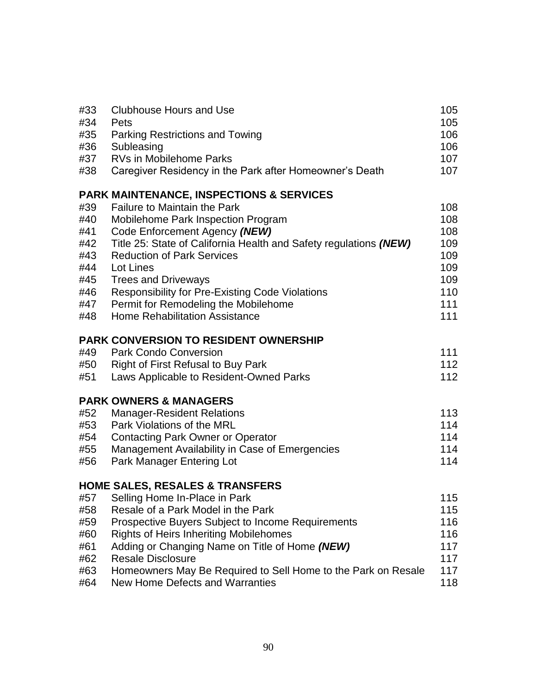| #33 | <b>Clubhouse Hours and Use</b>                                    | 105 |
|-----|-------------------------------------------------------------------|-----|
| #34 | Pets                                                              | 105 |
| #35 | Parking Restrictions and Towing                                   | 106 |
| #36 | Subleasing                                                        | 106 |
| #37 | <b>RVs in Mobilehome Parks</b>                                    | 107 |
| #38 | Caregiver Residency in the Park after Homeowner's Death           | 107 |
|     | <b>PARK MAINTENANCE, INSPECTIONS &amp; SERVICES</b>               |     |
| #39 | <b>Failure to Maintain the Park</b>                               | 108 |
| #40 | Mobilehome Park Inspection Program                                | 108 |
| #41 | Code Enforcement Agency (NEW)                                     | 108 |
| #42 | Title 25: State of California Health and Safety regulations (NEW) | 109 |
| #43 | <b>Reduction of Park Services</b>                                 | 109 |
| #44 | Lot Lines                                                         | 109 |
| #45 | <b>Trees and Driveways</b>                                        | 109 |
| #46 | <b>Responsibility for Pre-Existing Code Violations</b>            | 110 |
| #47 | Permit for Remodeling the Mobilehome                              | 111 |
| #48 | <b>Home Rehabilitation Assistance</b>                             | 111 |
|     | <b>PARK CONVERSION TO RESIDENT OWNERSHIP</b>                      |     |
| #49 | <b>Park Condo Conversion</b>                                      | 111 |
| #50 | <b>Right of First Refusal to Buy Park</b>                         | 112 |
| #51 | Laws Applicable to Resident-Owned Parks                           | 112 |
|     | <b>PARK OWNERS &amp; MANAGERS</b>                                 |     |
| #52 | <b>Manager-Resident Relations</b>                                 | 113 |
| #53 | Park Violations of the MRL                                        | 114 |
| #54 | <b>Contacting Park Owner or Operator</b>                          | 114 |
| #55 | Management Availability in Case of Emergencies                    | 114 |

# **HOME SALES, RESALES & TRANSFERS**

| 115                                                                  |
|----------------------------------------------------------------------|
| 115                                                                  |
| 116                                                                  |
| 116                                                                  |
| 117                                                                  |
| 117                                                                  |
| 117<br>Homeowners May Be Required to Sell Home to the Park on Resale |
| 118                                                                  |
|                                                                      |

#56 Park Manager Entering Lot 114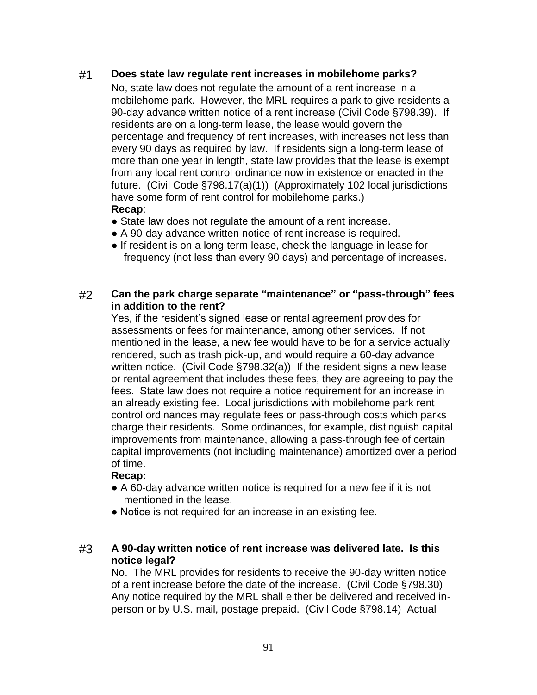### #1 **Does state law regulate rent increases in mobilehome parks?**

No, state law does not regulate the amount of a rent increase in a mobilehome park. However, the MRL requires a park to give residents a 90-day advance written notice of a rent increase (Civil Code §798.39). If residents are on a long-term lease, the lease would govern the percentage and frequency of rent increases, with increases not less than every 90 days as required by law. If residents sign a long-term lease of more than one year in length, state law provides that the lease is exempt from any local rent control ordinance now in existence or enacted in the future. (Civil Code §798.17(a)(1)) (Approximately 102 local jurisdictions have some form of rent control for mobilehome parks.) **Recap**:

- State law does not regulate the amount of a rent increase.
- A 90-day advance written notice of rent increase is required.
- If resident is on a long-term lease, check the language in lease for frequency (not less than every 90 days) and percentage of increases.

### #2 **Can the park charge separate "maintenance" or "pass-through" fees in addition to the rent?**

Yes, if the resident's signed lease or rental agreement provides for assessments or fees for maintenance, among other services. If not mentioned in the lease, a new fee would have to be for a service actually rendered, such as trash pick-up, and would require a 60-day advance written notice. (Civil Code §798.32(a)) If the resident signs a new lease or rental agreement that includes these fees, they are agreeing to pay the fees. State law does not require a notice requirement for an increase in an already existing fee. Local jurisdictions with mobilehome park rent control ordinances may regulate fees or pass-through costs which parks charge their residents. Some ordinances, for example, distinguish capital improvements from maintenance, allowing a pass-through fee of certain capital improvements (not including maintenance) amortized over a period of time.

### **Recap:**

- A 60-day advance written notice is required for a new fee if it is not mentioned in the lease.
- Notice is not required for an increase in an existing fee.

### #3 **A 90-day written notice of rent increase was delivered late. Is this notice legal?**

No. The MRL provides for residents to receive the 90-day written notice of a rent increase before the date of the increase. (Civil Code §798.30) Any notice required by the MRL shall either be delivered and received inperson or by U.S. mail, postage prepaid. (Civil Code §798.14) Actual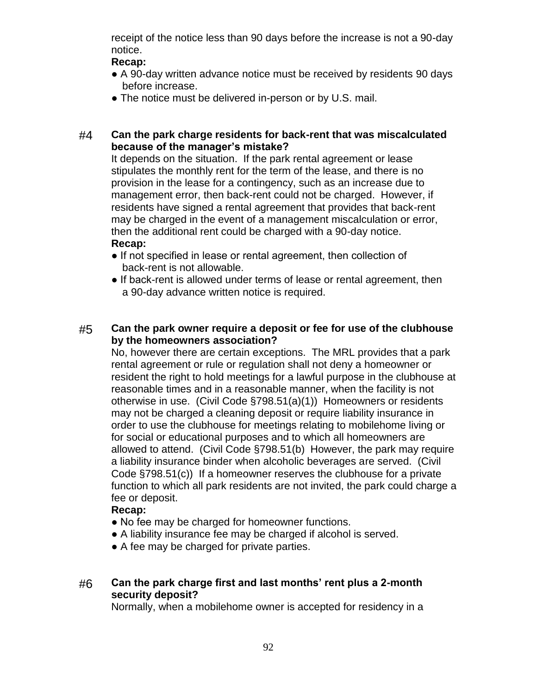receipt of the notice less than 90 days before the increase is not a 90-day notice.

### **Recap:**

- A 90-day written advance notice must be received by residents 90 days before increase.
- The notice must be delivered in-person or by U.S. mail.

### #4 **Can the park charge residents for back-rent that was miscalculated because of the manager's mistake?**

It depends on the situation. If the park rental agreement or lease stipulates the monthly rent for the term of the lease, and there is no provision in the lease for a contingency, such as an increase due to management error, then back-rent could not be charged. However, if residents have signed a rental agreement that provides that back-rent may be charged in the event of a management miscalculation or error, then the additional rent could be charged with a 90-day notice. **Recap:**

- If not specified in lease or rental agreement, then collection of back-rent is not allowable.
- If back-rent is allowed under terms of lease or rental agreement, then a 90-day advance written notice is required.

### #5 **Can the park owner require a deposit or fee for use of the clubhouse by the homeowners association?**

No, however there are certain exceptions. The MRL provides that a park rental agreement or rule or regulation shall not deny a homeowner or resident the right to hold meetings for a lawful purpose in the clubhouse at reasonable times and in a reasonable manner, when the facility is not otherwise in use. (Civil Code §798.51(a)(1)) Homeowners or residents may not be charged a cleaning deposit or require liability insurance in order to use the clubhouse for meetings relating to mobilehome living or for social or educational purposes and to which all homeowners are allowed to attend. (Civil Code §798.51(b) However, the park may require a liability insurance binder when alcoholic beverages are served. (Civil Code §798.51(c)) If a homeowner reserves the clubhouse for a private function to which all park residents are not invited, the park could charge a fee or deposit.

### **Recap:**

- No fee may be charged for homeowner functions.
- A liability insurance fee may be charged if alcohol is served.
- A fee may be charged for private parties.

## #6 **Can the park charge first and last months' rent plus a 2-month security deposit?**

Normally, when a mobilehome owner is accepted for residency in a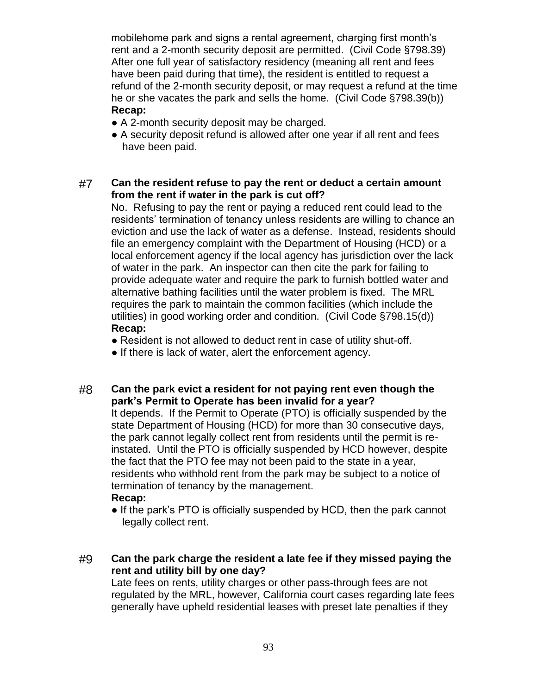mobilehome park and signs a rental agreement, charging first month's rent and a 2-month security deposit are permitted. (Civil Code §798.39) After one full year of satisfactory residency (meaning all rent and fees have been paid during that time), the resident is entitled to request a refund of the 2-month security deposit, or may request a refund at the time he or she vacates the park and sells the home. (Civil Code §798.39(b)) **Recap:**

- A 2-month security deposit may be charged.
- A security deposit refund is allowed after one year if all rent and fees have been paid.

### #7 **Can the resident refuse to pay the rent or deduct a certain amount from the rent if water in the park is cut off?**

No. Refusing to pay the rent or paying a reduced rent could lead to the residents' termination of tenancy unless residents are willing to chance an eviction and use the lack of water as a defense. Instead, residents should file an emergency complaint with the Department of Housing (HCD) or a local enforcement agency if the local agency has jurisdiction over the lack of water in the park. An inspector can then cite the park for failing to provide adequate water and require the park to furnish bottled water and alternative bathing facilities until the water problem is fixed. The MRL requires the park to maintain the common facilities (which include the utilities) in good working order and condition. (Civil Code §798.15(d)) **Recap:**

- Resident is not allowed to deduct rent in case of utility shut-off.
- If there is lack of water, alert the enforcement agency.

### #8 **Can the park evict a resident for not paying rent even though the park's Permit to Operate has been invalid for a year?**

It depends. If the Permit to Operate (PTO) is officially suspended by the state Department of Housing (HCD) for more than 30 consecutive days, the park cannot legally collect rent from residents until the permit is reinstated. Until the PTO is officially suspended by HCD however, despite the fact that the PTO fee may not been paid to the state in a year, residents who withhold rent from the park may be subject to a notice of termination of tenancy by the management.

### **Recap:**

• If the park's PTO is officially suspended by HCD, then the park cannot legally collect rent.

### #9 **Can the park charge the resident a late fee if they missed paying the rent and utility bill by one day?**

Late fees on rents, utility charges or other pass-through fees are not regulated by the MRL, however, California court cases regarding late fees generally have upheld residential leases with preset late penalties if they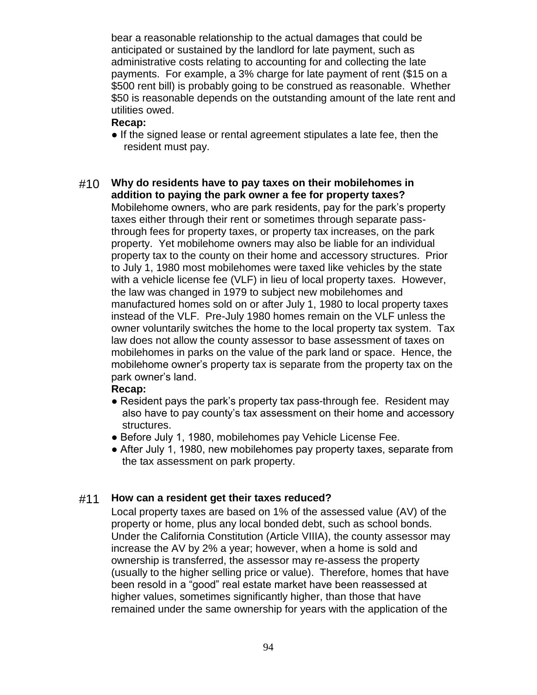bear a reasonable relationship to the actual damages that could be anticipated or sustained by the landlord for late payment, such as administrative costs relating to accounting for and collecting the late payments. For example, a 3% charge for late payment of rent (\$15 on a \$500 rent bill) is probably going to be construed as reasonable. Whether \$50 is reasonable depends on the outstanding amount of the late rent and utilities owed.

### **Recap:**

- If the signed lease or rental agreement stipulates a late fee, then the resident must pay.
- #10 **Why do residents have to pay taxes on their mobilehomes in addition to paying the park owner a fee for property taxes?** Mobilehome owners, who are park residents, pay for the park's property taxes either through their rent or sometimes through separate passthrough fees for property taxes, or property tax increases, on the park property. Yet mobilehome owners may also be liable for an individual property tax to the county on their home and accessory structures. Prior to July 1, 1980 most mobilehomes were taxed like vehicles by the state with a vehicle license fee (VLF) in lieu of local property taxes. However, the law was changed in 1979 to subject new mobilehomes and manufactured homes sold on or after July 1, 1980 to local property taxes instead of the VLF. Pre-July 1980 homes remain on the VLF unless the owner voluntarily switches the home to the local property tax system. Tax law does not allow the county assessor to base assessment of taxes on mobilehomes in parks on the value of the park land or space. Hence, the mobilehome owner's property tax is separate from the property tax on the park owner's land.

### **Recap:**

- Resident pays the park's property tax pass-through fee. Resident may also have to pay county's tax assessment on their home and accessory structures.
- Before July 1, 1980, mobilehomes pay Vehicle License Fee.
- After July 1, 1980, new mobilehomes pay property taxes, separate from the tax assessment on park property.

## #11 **How can a resident get their taxes reduced?**

Local property taxes are based on 1% of the assessed value (AV) of the property or home, plus any local bonded debt, such as school bonds. Under the California Constitution (Article VIIIA), the county assessor may increase the AV by 2% a year; however, when a home is sold and ownership is transferred, the assessor may re-assess the property (usually to the higher selling price or value). Therefore, homes that have been resold in a "good" real estate market have been reassessed at higher values, sometimes significantly higher, than those that have remained under the same ownership for years with the application of the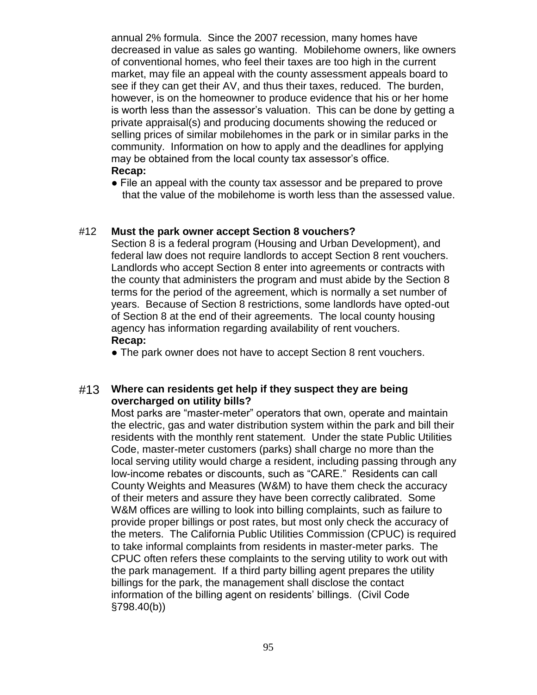annual 2% formula. Since the 2007 recession, many homes have decreased in value as sales go wanting. Mobilehome owners, like owners of conventional homes, who feel their taxes are too high in the current market, may file an appeal with the county assessment appeals board to see if they can get their AV, and thus their taxes, reduced. The burden, however, is on the homeowner to produce evidence that his or her home is worth less than the assessor's valuation. This can be done by getting a private appraisal(s) and producing documents showing the reduced or selling prices of similar mobilehomes in the park or in similar parks in the community. Information on how to apply and the deadlines for applying may be obtained from the local county tax assessor's office. **Recap:**

● File an appeal with the county tax assessor and be prepared to prove that the value of the mobilehome is worth less than the assessed value.

#### #12 **Must the park owner accept Section 8 vouchers?**

Section 8 is a federal program (Housing and Urban Development), and federal law does not require landlords to accept Section 8 rent vouchers. Landlords who accept Section 8 enter into agreements or contracts with the county that administers the program and must abide by the Section 8 terms for the period of the agreement, which is normally a set number of years. Because of Section 8 restrictions, some landlords have opted-out of Section 8 at the end of their agreements. The local county housing agency has information regarding availability of rent vouchers. **Recap:**

• The park owner does not have to accept Section 8 rent vouchers.

#### #13 **Where can residents get help if they suspect they are being overcharged on utility bills?**

Most parks are "master-meter" operators that own, operate and maintain the electric, gas and water distribution system within the park and bill their residents with the monthly rent statement. Under the state Public Utilities Code, master-meter customers (parks) shall charge no more than the local serving utility would charge a resident, including passing through any low-income rebates or discounts, such as "CARE." Residents can call County Weights and Measures (W&M) to have them check the accuracy of their meters and assure they have been correctly calibrated. Some W&M offices are willing to look into billing complaints, such as failure to provide proper billings or post rates, but most only check the accuracy of the meters. The California Public Utilities Commission (CPUC) is required to take informal complaints from residents in master-meter parks. The CPUC often refers these complaints to the serving utility to work out with the park management. If a third party billing agent prepares the utility billings for the park, the management shall disclose the contact information of the billing agent on residents' billings. (Civil Code §798.40(b))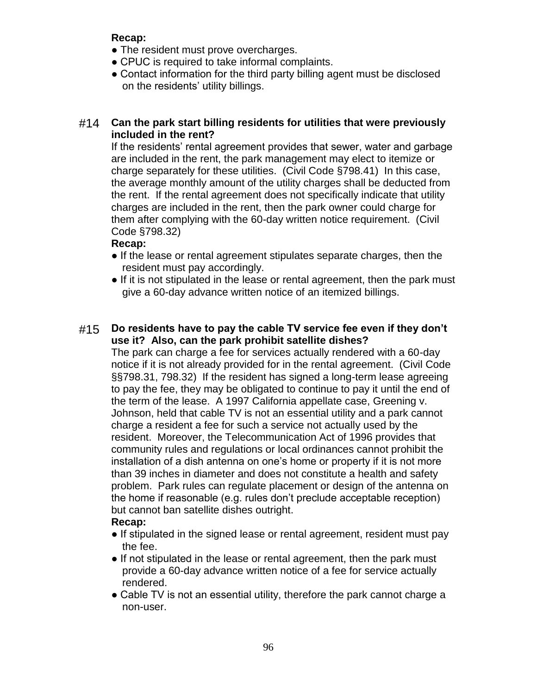- The resident must prove overcharges.
- CPUC is required to take informal complaints.
- Contact information for the third party billing agent must be disclosed on the residents' utility billings.

## #14 **Can the park start billing residents for utilities that were previously included in the rent?**

If the residents' rental agreement provides that sewer, water and garbage are included in the rent, the park management may elect to itemize or charge separately for these utilities. (Civil Code §798.41) In this case, the average monthly amount of the utility charges shall be deducted from the rent. If the rental agreement does not specifically indicate that utility charges are included in the rent, then the park owner could charge for them after complying with the 60-day written notice requirement. (Civil Code §798.32)

# **Recap:**

- If the lease or rental agreement stipulates separate charges, then the resident must pay accordingly.
- If it is not stipulated in the lease or rental agreement, then the park must give a 60-day advance written notice of an itemized billings.

# #15 **Do residents have to pay the cable TV service fee even if they don't use it? Also, can the park prohibit satellite dishes?**

The park can charge a fee for services actually rendered with a 60-day notice if it is not already provided for in the rental agreement. (Civil Code §§798.31, 798.32) If the resident has signed a long-term lease agreeing to pay the fee, they may be obligated to continue to pay it until the end of the term of the lease. A 1997 California appellate case, Greening v. Johnson, held that cable TV is not an essential utility and a park cannot charge a resident a fee for such a service not actually used by the resident. Moreover, the Telecommunication Act of 1996 provides that community rules and regulations or local ordinances cannot prohibit the installation of a dish antenna on one's home or property if it is not more than 39 inches in diameter and does not constitute a health and safety problem. Park rules can regulate placement or design of the antenna on the home if reasonable (e.g. rules don't preclude acceptable reception) but cannot ban satellite dishes outright.

- If stipulated in the signed lease or rental agreement, resident must pay the fee.
- If not stipulated in the lease or rental agreement, then the park must provide a 60-day advance written notice of a fee for service actually rendered.
- Cable TV is not an essential utility, therefore the park cannot charge a non-user.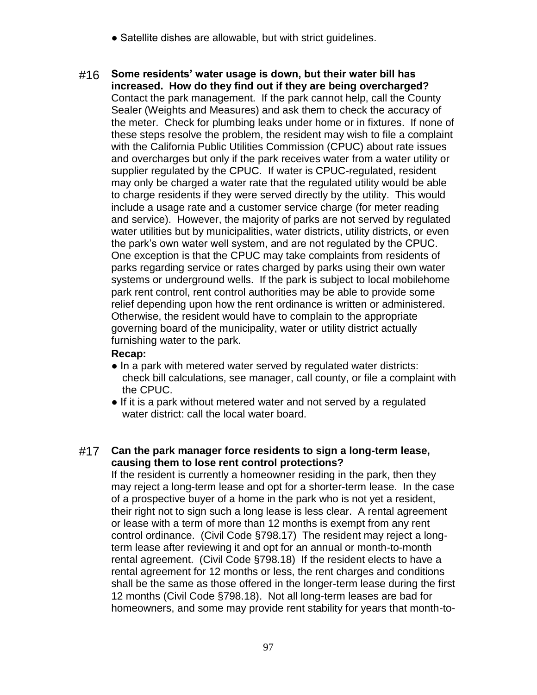- Satellite dishes are allowable, but with strict guidelines.
- #16 **Some residents' water usage is down, but their water bill has increased. How do they find out if they are being overcharged?** Contact the park management. If the park cannot help, call the County Sealer (Weights and Measures) and ask them to check the accuracy of the meter. Check for plumbing leaks under home or in fixtures. If none of these steps resolve the problem, the resident may wish to file a complaint with the California Public Utilities Commission (CPUC) about rate issues and overcharges but only if the park receives water from a water utility or supplier regulated by the CPUC. If water is CPUC-regulated, resident may only be charged a water rate that the regulated utility would be able to charge residents if they were served directly by the utility. This would include a usage rate and a customer service charge (for meter reading and service). However, the majority of parks are not served by regulated water utilities but by municipalities, water districts, utility districts, or even the park's own water well system, and are not regulated by the CPUC. One exception is that the CPUC may take complaints from residents of parks regarding service or rates charged by parks using their own water systems or underground wells. If the park is subject to local mobilehome park rent control, rent control authorities may be able to provide some relief depending upon how the rent ordinance is written or administered. Otherwise, the resident would have to complain to the appropriate governing board of the municipality, water or utility district actually furnishing water to the park.

- In a park with metered water served by regulated water districts: check bill calculations, see manager, call county, or file a complaint with the CPUC.
- If it is a park without metered water and not served by a regulated water district: call the local water board.

## #17 **Can the park manager force residents to sign a long-term lease, causing them to lose rent control protections?**

If the resident is currently a homeowner residing in the park, then they may reject a long-term lease and opt for a shorter-term lease. In the case of a prospective buyer of a home in the park who is not yet a resident, their right not to sign such a long lease is less clear. A rental agreement or lease with a term of more than 12 months is exempt from any rent control ordinance. (Civil Code §798.17) The resident may reject a longterm lease after reviewing it and opt for an annual or month-to-month rental agreement. (Civil Code §798.18) If the resident elects to have a rental agreement for 12 months or less, the rent charges and conditions shall be the same as those offered in the longer-term lease during the first 12 months (Civil Code §798.18). Not all long-term leases are bad for homeowners, and some may provide rent stability for years that month-to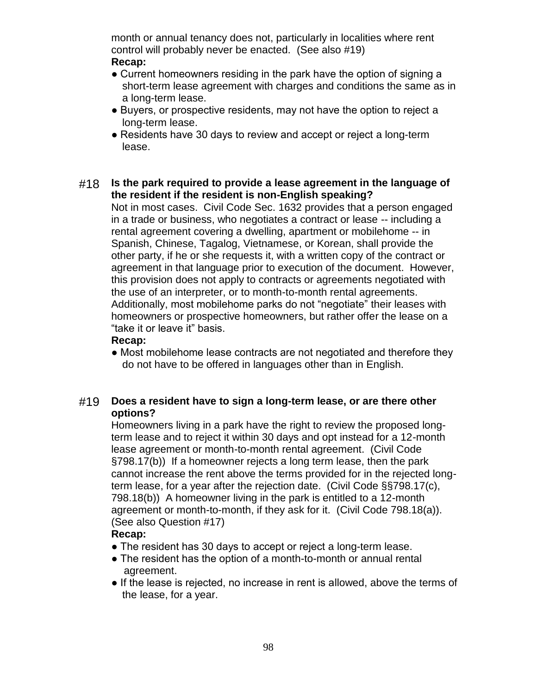month or annual tenancy does not, particularly in localities where rent control will probably never be enacted. (See also #19)

### **Recap:**

- Current homeowners residing in the park have the option of signing a short-term lease agreement with charges and conditions the same as in a long-term lease.
- Buyers, or prospective residents, may not have the option to reject a long-term lease.
- Residents have 30 days to review and accept or reject a long-term lease.

#### #18 **Is the park required to provide a lease agreement in the language of the resident if the resident is non-English speaking?**

Not in most cases. Civil Code Sec. 1632 provides that a person engaged in a trade or business, who negotiates a contract or lease -- including a rental agreement covering a dwelling, apartment or mobilehome -- in Spanish, Chinese, Tagalog, Vietnamese, or Korean, shall provide the other party, if he or she requests it, with a written copy of the contract or agreement in that language prior to execution of the document. However, this provision does not apply to contracts or agreements negotiated with the use of an interpreter, or to month-to-month rental agreements. Additionally, most mobilehome parks do not "negotiate" their leases with homeowners or prospective homeowners, but rather offer the lease on a "take it or leave it" basis.

### **Recap:**

• Most mobilehome lease contracts are not negotiated and therefore they do not have to be offered in languages other than in English.

### #19 **Does a resident have to sign a long-term lease, or are there other options?**

Homeowners living in a park have the right to review the proposed longterm lease and to reject it within 30 days and opt instead for a 12-month lease agreement or month-to-month rental agreement. (Civil Code §798.17(b)) If a homeowner rejects a long term lease, then the park cannot increase the rent above the terms provided for in the rejected longterm lease, for a year after the rejection date. (Civil Code §§798.17(c), 798.18(b)) A homeowner living in the park is entitled to a 12-month agreement or month-to-month, if they ask for it. (Civil Code 798.18(a)). (See also Question #17)

- The resident has 30 days to accept or reject a long-term lease.
- The resident has the option of a month-to-month or annual rental agreement.
- If the lease is rejected, no increase in rent is allowed, above the terms of the lease, for a year.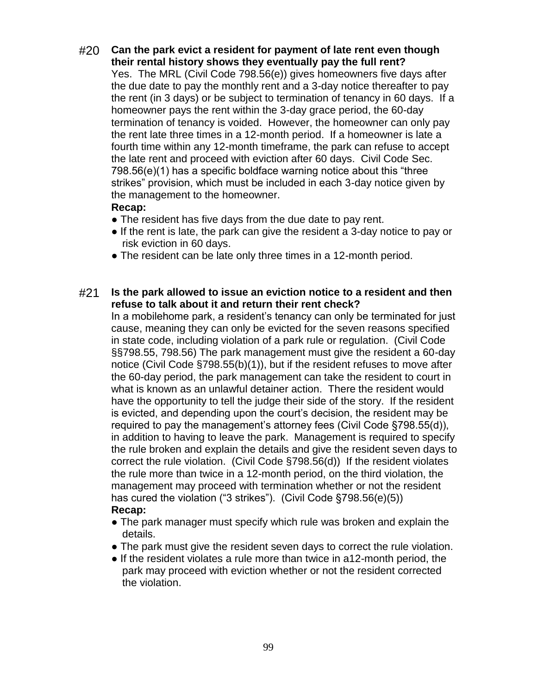#20 **Can the park evict a resident for payment of late rent even though their rental history shows they eventually pay the full rent?**

Yes. The MRL (Civil Code 798.56(e)) gives homeowners five days after the due date to pay the monthly rent and a 3-day notice thereafter to pay the rent (in 3 days) or be subject to termination of tenancy in 60 days. If a homeowner pays the rent within the 3-day grace period, the 60-day termination of tenancy is voided. However, the homeowner can only pay the rent late three times in a 12-month period. If a homeowner is late a fourth time within any 12-month timeframe, the park can refuse to accept the late rent and proceed with eviction after 60 days. Civil Code Sec. 798.56(e)(1) has a specific boldface warning notice about this "three strikes" provision, which must be included in each 3-day notice given by the management to the homeowner.

#### **Recap:**

- The resident has five days from the due date to pay rent.
- If the rent is late, the park can give the resident a 3-day notice to pay or risk eviction in 60 days.
- The resident can be late only three times in a 12-month period.

### #21 **Is the park allowed to issue an eviction notice to a resident and then refuse to talk about it and return their rent check?**

In a mobilehome park, a resident's tenancy can only be terminated for just cause, meaning they can only be evicted for the seven reasons specified in state code, including violation of a park rule or regulation. (Civil Code §§798.55, 798.56) The park management must give the resident a 60-day notice (Civil Code §798.55(b)(1)), but if the resident refuses to move after the 60-day period, the park management can take the resident to court in what is known as an unlawful detainer action. There the resident would have the opportunity to tell the judge their side of the story. If the resident is evicted, and depending upon the court's decision, the resident may be required to pay the management's attorney fees (Civil Code §798.55(d)), in addition to having to leave the park. Management is required to specify the rule broken and explain the details and give the resident seven days to correct the rule violation. (Civil Code §798.56(d)) If the resident violates the rule more than twice in a 12-month period, on the third violation, the management may proceed with termination whether or not the resident has cured the violation ("3 strikes"). (Civil Code §798.56(e)(5)) **Recap:**

- The park manager must specify which rule was broken and explain the details.
- The park must give the resident seven days to correct the rule violation.
- If the resident violates a rule more than twice in a12-month period, the park may proceed with eviction whether or not the resident corrected the violation.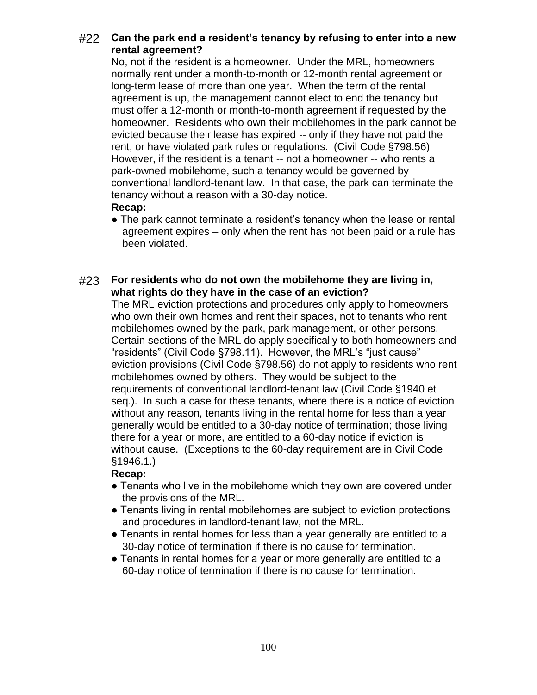## #22 **Can the park end a resident's tenancy by refusing to enter into a new rental agreement?**

No, not if the resident is a homeowner. Under the MRL, homeowners normally rent under a month-to-month or 12-month rental agreement or long-term lease of more than one year. When the term of the rental agreement is up, the management cannot elect to end the tenancy but must offer a 12-month or month-to-month agreement if requested by the homeowner. Residents who own their mobilehomes in the park cannot be evicted because their lease has expired -- only if they have not paid the rent, or have violated park rules or regulations. (Civil Code §798.56) However, if the resident is a tenant -- not a homeowner -- who rents a park-owned mobilehome, such a tenancy would be governed by conventional landlord-tenant law. In that case, the park can terminate the tenancy without a reason with a 30-day notice. **Recap:**

• The park cannot terminate a resident's tenancy when the lease or rental agreement expires – only when the rent has not been paid or a rule has been violated.

### #23 **For residents who do not own the mobilehome they are living in, what rights do they have in the case of an eviction?**

The MRL eviction protections and procedures only apply to homeowners who own their own homes and rent their spaces, not to tenants who rent mobilehomes owned by the park, park management, or other persons. Certain sections of the MRL do apply specifically to both homeowners and "residents" (Civil Code §798.11). However, the MRL's "just cause" eviction provisions (Civil Code §798.56) do not apply to residents who rent mobilehomes owned by others. They would be subject to the requirements of conventional landlord-tenant law (Civil Code §1940 et seq.). In such a case for these tenants, where there is a notice of eviction without any reason, tenants living in the rental home for less than a year generally would be entitled to a 30-day notice of termination; those living there for a year or more, are entitled to a 60-day notice if eviction is without cause. (Exceptions to the 60-day requirement are in Civil Code §1946.1.)

- Tenants who live in the mobilehome which they own are covered under the provisions of the MRL.
- Tenants living in rental mobilehomes are subject to eviction protections and procedures in landlord-tenant law, not the MRL.
- Tenants in rental homes for less than a year generally are entitled to a 30-day notice of termination if there is no cause for termination.
- Tenants in rental homes for a year or more generally are entitled to a 60-day notice of termination if there is no cause for termination.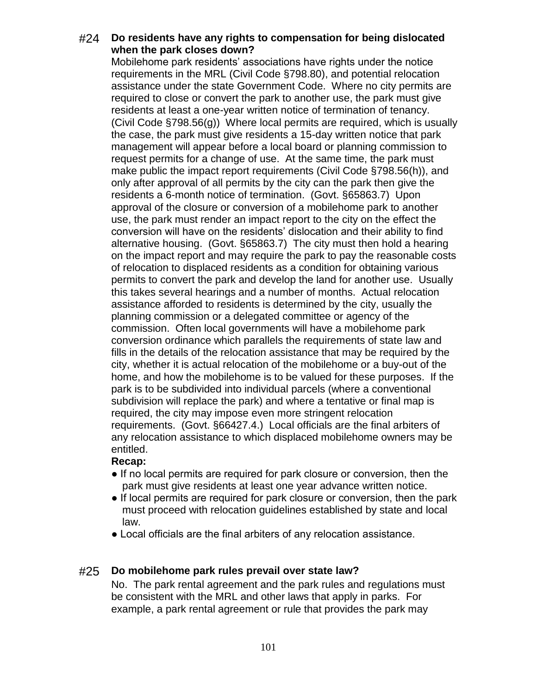### #24 **Do residents have any rights to compensation for being dislocated when the park closes down?**

Mobilehome park residents' associations have rights under the notice requirements in the MRL (Civil Code §798.80), and potential relocation assistance under the state Government Code. Where no city permits are required to close or convert the park to another use, the park must give residents at least a one-year written notice of termination of tenancy. (Civil Code §798.56(g)) Where local permits are required, which is usually the case, the park must give residents a 15-day written notice that park management will appear before a local board or planning commission to request permits for a change of use. At the same time, the park must make public the impact report requirements (Civil Code §798.56(h)), and only after approval of all permits by the city can the park then give the residents a 6-month notice of termination. (Govt. §65863.7) Upon approval of the closure or conversion of a mobilehome park to another use, the park must render an impact report to the city on the effect the conversion will have on the residents' dislocation and their ability to find alternative housing. (Govt. §65863.7) The city must then hold a hearing on the impact report and may require the park to pay the reasonable costs of relocation to displaced residents as a condition for obtaining various permits to convert the park and develop the land for another use. Usually this takes several hearings and a number of months. Actual relocation assistance afforded to residents is determined by the city, usually the planning commission or a delegated committee or agency of the commission. Often local governments will have a mobilehome park conversion ordinance which parallels the requirements of state law and fills in the details of the relocation assistance that may be required by the city, whether it is actual relocation of the mobilehome or a buy-out of the home, and how the mobilehome is to be valued for these purposes. If the park is to be subdivided into individual parcels (where a conventional subdivision will replace the park) and where a tentative or final map is required, the city may impose even more stringent relocation requirements. (Govt. §66427.4.) Local officials are the final arbiters of any relocation assistance to which displaced mobilehome owners may be entitled.

### **Recap:**

- If no local permits are required for park closure or conversion, then the park must give residents at least one year advance written notice.
- If local permits are required for park closure or conversion, then the park must proceed with relocation guidelines established by state and local law.
- Local officials are the final arbiters of any relocation assistance.

## #25 **Do mobilehome park rules prevail over state law?**

No. The park rental agreement and the park rules and regulations must be consistent with the MRL and other laws that apply in parks. For example, a park rental agreement or rule that provides the park may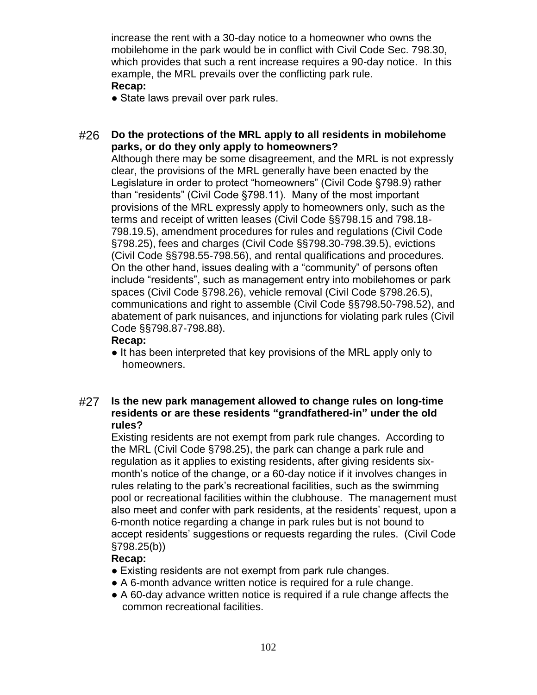increase the rent with a 30-day notice to a homeowner who owns the mobilehome in the park would be in conflict with Civil Code Sec. 798.30, which provides that such a rent increase requires a 90-day notice. In this example, the MRL prevails over the conflicting park rule. **Recap:**

• State laws prevail over park rules.

### #26 **Do the protections of the MRL apply to all residents in mobilehome parks, or do they only apply to homeowners?**

Although there may be some disagreement, and the MRL is not expressly clear, the provisions of the MRL generally have been enacted by the Legislature in order to protect "homeowners" (Civil Code §798.9) rather than "residents" (Civil Code §798.11). Many of the most important provisions of the MRL expressly apply to homeowners only, such as the terms and receipt of written leases (Civil Code §§798.15 and 798.18- 798.19.5), amendment procedures for rules and regulations (Civil Code §798.25), fees and charges (Civil Code §§798.30-798.39.5), evictions (Civil Code §§798.55-798.56), and rental qualifications and procedures. On the other hand, issues dealing with a "community" of persons often include "residents", such as management entry into mobilehomes or park spaces (Civil Code §798.26), vehicle removal (Civil Code §798.26.5), communications and right to assemble (Civil Code §§798.50-798.52), and abatement of park nuisances, and injunctions for violating park rules (Civil Code §§798.87-798.88).

### **Recap:**

• It has been interpreted that key provisions of the MRL apply only to homeowners.

### #27 **Is the new park management allowed to change rules on long-time residents or are these residents "grandfathered-in" under the old rules?**

Existing residents are not exempt from park rule changes. According to the MRL (Civil Code §798.25), the park can change a park rule and regulation as it applies to existing residents, after giving residents sixmonth's notice of the change, or a 60-day notice if it involves changes in rules relating to the park's recreational facilities, such as the swimming pool or recreational facilities within the clubhouse. The management must also meet and confer with park residents, at the residents' request, upon a 6-month notice regarding a change in park rules but is not bound to accept residents' suggestions or requests regarding the rules. (Civil Code §798.25(b))

- Existing residents are not exempt from park rule changes.
- A 6-month advance written notice is required for a rule change.
- A 60-day advance written notice is required if a rule change affects the common recreational facilities.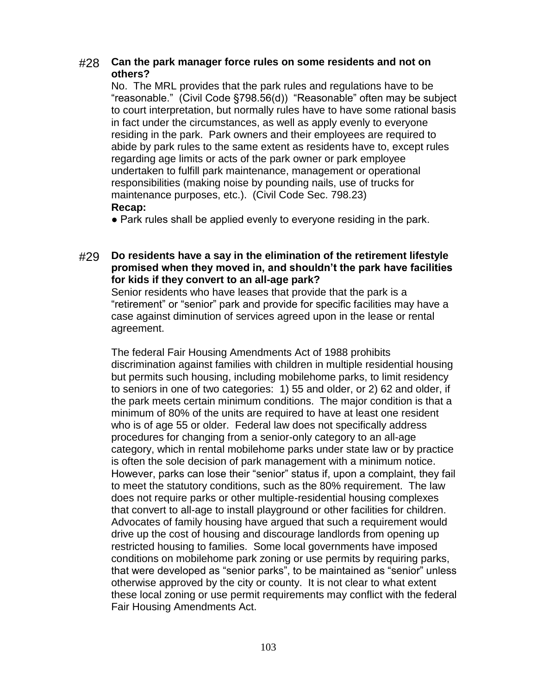### #28 **Can the park manager force rules on some residents and not on others?**

No. The MRL provides that the park rules and regulations have to be "reasonable." (Civil Code §798.56(d)) "Reasonable" often may be subject to court interpretation, but normally rules have to have some rational basis in fact under the circumstances, as well as apply evenly to everyone residing in the park. Park owners and their employees are required to abide by park rules to the same extent as residents have to, except rules regarding age limits or acts of the park owner or park employee undertaken to fulfill park maintenance, management or operational responsibilities (making noise by pounding nails, use of trucks for maintenance purposes, etc.). (Civil Code Sec. 798.23) **Recap:**

• Park rules shall be applied evenly to everyone residing in the park.

#29 **Do residents have a say in the elimination of the retirement lifestyle promised when they moved in, and shouldn't the park have facilities for kids if they convert to an all-age park?**

Senior residents who have leases that provide that the park is a "retirement" or "senior" park and provide for specific facilities may have a case against diminution of services agreed upon in the lease or rental agreement.

The federal Fair Housing Amendments Act of 1988 prohibits discrimination against families with children in multiple residential housing but permits such housing, including mobilehome parks, to limit residency to seniors in one of two categories: 1) 55 and older, or 2) 62 and older, if the park meets certain minimum conditions. The major condition is that a minimum of 80% of the units are required to have at least one resident who is of age 55 or older. Federal law does not specifically address procedures for changing from a senior-only category to an all-age category, which in rental mobilehome parks under state law or by practice is often the sole decision of park management with a minimum notice. However, parks can lose their "senior" status if, upon a complaint, they fail to meet the statutory conditions, such as the 80% requirement. The law does not require parks or other multiple-residential housing complexes that convert to all-age to install playground or other facilities for children. Advocates of family housing have argued that such a requirement would drive up the cost of housing and discourage landlords from opening up restricted housing to families. Some local governments have imposed conditions on mobilehome park zoning or use permits by requiring parks, that were developed as "senior parks", to be maintained as "senior" unless otherwise approved by the city or county. It is not clear to what extent these local zoning or use permit requirements may conflict with the federal Fair Housing Amendments Act.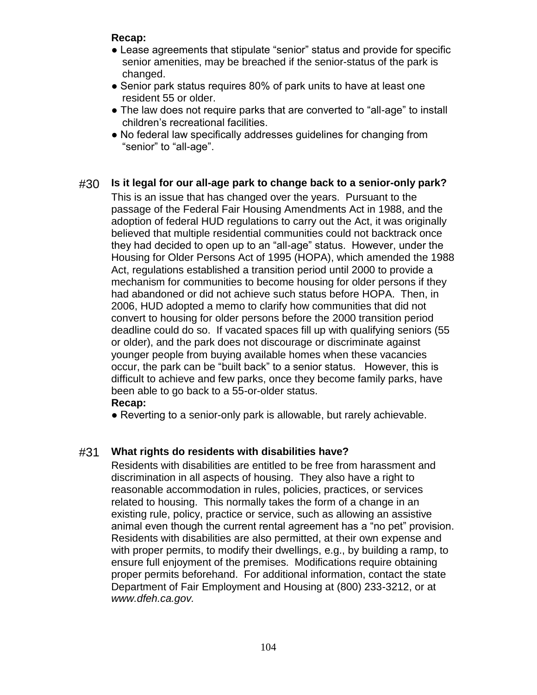- Lease agreements that stipulate "senior" status and provide for specific senior amenities, may be breached if the senior-status of the park is changed.
- Senior park status requires 80% of park units to have at least one resident 55 or older.
- The law does not require parks that are converted to "all-age" to install children's recreational facilities.
- No federal law specifically addresses guidelines for changing from "senior" to "all-age".

### #30 **Is it legal for our all-age park to change back to a senior-only park?**

This is an issue that has changed over the years. Pursuant to the passage of the Federal Fair Housing Amendments Act in 1988, and the adoption of federal HUD regulations to carry out the Act, it was originally believed that multiple residential communities could not backtrack once they had decided to open up to an "all-age" status. However, under the Housing for Older Persons Act of 1995 (HOPA), which amended the 1988 Act, regulations established a transition period until 2000 to provide a mechanism for communities to become housing for older persons if they had abandoned or did not achieve such status before HOPA. Then, in 2006, HUD adopted a memo to clarify how communities that did not convert to housing for older persons before the 2000 transition period deadline could do so. If vacated spaces fill up with qualifying seniors (55 or older), and the park does not discourage or discriminate against younger people from buying available homes when these vacancies occur, the park can be "built back" to a senior status. However, this is difficult to achieve and few parks, once they become family parks, have been able to go back to a 55-or-older status.

### **Recap:**

• Reverting to a senior-only park is allowable, but rarely achievable.

## #31 **What rights do residents with disabilities have?**

Residents with disabilities are entitled to be free from harassment and discrimination in all aspects of housing. They also have a right to reasonable accommodation in rules, policies, practices, or services related to housing. This normally takes the form of a change in an existing rule, policy, practice or service, such as allowing an assistive animal even though the current rental agreement has a "no pet" provision. Residents with disabilities are also permitted, at their own expense and with proper permits, to modify their dwellings, e.g., by building a ramp, to ensure full enjoyment of the premises. Modifications require obtaining proper permits beforehand. For additional information, contact the state Department of Fair Employment and Housing at (800) 233-3212, or at *www.dfeh.ca.gov.*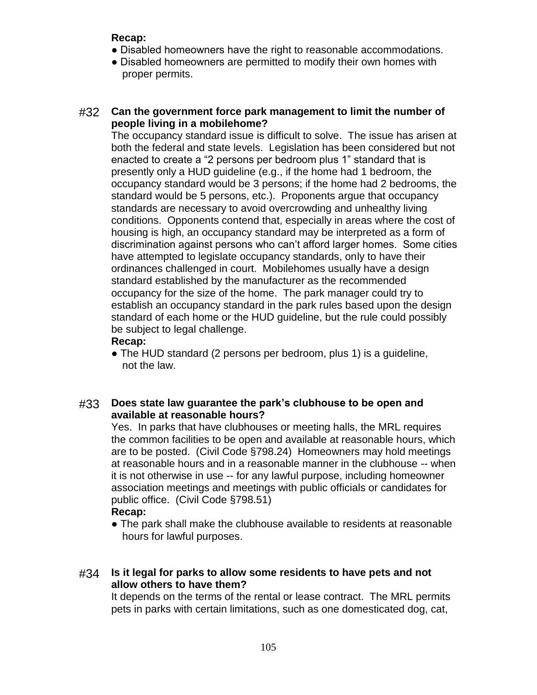- Disabled homeowners have the right to reasonable accommodations.
- Disabled homeowners are permitted to modify their own homes with proper permits.

### #32 **Can the government force park management to limit the number of people living in a mobilehome?**

The occupancy standard issue is difficult to solve. The issue has arisen at both the federal and state levels. Legislation has been considered but not enacted to create a "2 persons per bedroom plus 1" standard that is presently only a HUD guideline (e.g., if the home had 1 bedroom, the occupancy standard would be 3 persons; if the home had 2 bedrooms, the standard would be 5 persons, etc.). Proponents argue that occupancy standards are necessary to avoid overcrowding and unhealthy living conditions. Opponents contend that, especially in areas where the cost of housing is high, an occupancy standard may be interpreted as a form of discrimination against persons who can't afford larger homes. Some cities have attempted to legislate occupancy standards, only to have their ordinances challenged in court. Mobilehomes usually have a design standard established by the manufacturer as the recommended occupancy for the size of the home. The park manager could try to establish an occupancy standard in the park rules based upon the design standard of each home or the HUD guideline, but the rule could possibly be subject to legal challenge.

#### **Recap:**

• The HUD standard (2 persons per bedroom, plus 1) is a guideline, not the law.

### #33 **Does state law guarantee the park's clubhouse to be open and available at reasonable hours?**

Yes. In parks that have clubhouses or meeting halls, the MRL requires the common facilities to be open and available at reasonable hours, which are to be posted. (Civil Code §798.24) Homeowners may hold meetings at reasonable hours and in a reasonable manner in the clubhouse -- when it is not otherwise in use -- for any lawful purpose, including homeowner association meetings and meetings with public officials or candidates for public office. (Civil Code §798.51)

#### **Recap:**

● The park shall make the clubhouse available to residents at reasonable hours for lawful purposes.

### #34 **Is it legal for parks to allow some residents to have pets and not allow others to have them?**

It depends on the terms of the rental or lease contract. The MRL permits pets in parks with certain limitations, such as one domesticated dog, cat,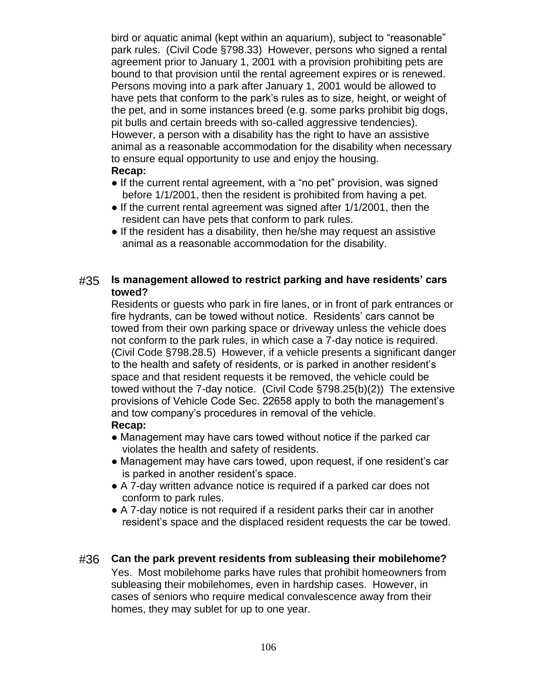bird or aquatic animal (kept within an aquarium), subject to "reasonable" park rules. (Civil Code §798.33) However, persons who signed a rental agreement prior to January 1, 2001 with a provision prohibiting pets are bound to that provision until the rental agreement expires or is renewed. Persons moving into a park after January 1, 2001 would be allowed to have pets that conform to the park's rules as to size, height, or weight of the pet, and in some instances breed (e.g. some parks prohibit big dogs, pit bulls and certain breeds with so-called aggressive tendencies). However, a person with a disability has the right to have an assistive animal as a reasonable accommodation for the disability when necessary to ensure equal opportunity to use and enjoy the housing. **Recap:**

- If the current rental agreement, with a "no pet" provision, was signed before 1/1/2001, then the resident is prohibited from having a pet.
- If the current rental agreement was signed after 1/1/2001, then the resident can have pets that conform to park rules.
- If the resident has a disability, then he/she may request an assistive animal as a reasonable accommodation for the disability.

#### #35 **Is management allowed to restrict parking and have residents' cars towed?**

Residents or guests who park in fire lanes, or in front of park entrances or fire hydrants, can be towed without notice. Residents' cars cannot be towed from their own parking space or driveway unless the vehicle does not conform to the park rules, in which case a 7-day notice is required. (Civil Code §798.28.5) However, if a vehicle presents a significant danger to the health and safety of residents, or is parked in another resident's space and that resident requests it be removed, the vehicle could be towed without the 7-day notice. (Civil Code §798.25(b)(2)) The extensive provisions of Vehicle Code Sec. 22658 apply to both the management's and tow company's procedures in removal of the vehicle.

### **Recap:**

- Management may have cars towed without notice if the parked car violates the health and safety of residents.
- Management may have cars towed, upon request, if one resident's car is parked in another resident's space.
- A 7-day written advance notice is required if a parked car does not conform to park rules.
- A 7-day notice is not required if a resident parks their car in another resident's space and the displaced resident requests the car be towed.

### #36 **Can the park prevent residents from subleasing their mobilehome?**

Yes. Most mobilehome parks have rules that prohibit homeowners from subleasing their mobilehomes, even in hardship cases. However, in cases of seniors who require medical convalescence away from their homes, they may sublet for up to one year.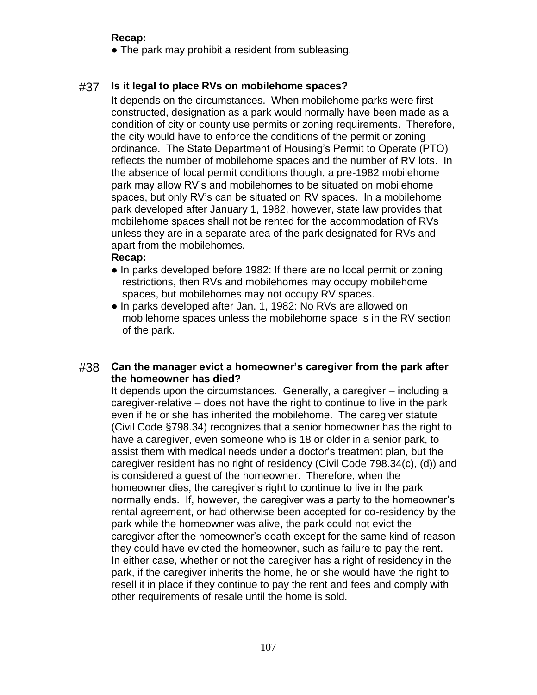• The park may prohibit a resident from subleasing.

### #37 **Is it legal to place RVs on mobilehome spaces?**

It depends on the circumstances. When mobilehome parks were first constructed, designation as a park would normally have been made as a condition of city or county use permits or zoning requirements. Therefore, the city would have to enforce the conditions of the permit or zoning ordinance. The State Department of Housing's Permit to Operate (PTO) reflects the number of mobilehome spaces and the number of RV lots. In the absence of local permit conditions though, a pre-1982 mobilehome park may allow RV's and mobilehomes to be situated on mobilehome spaces, but only RV's can be situated on RV spaces. In a mobilehome park developed after January 1, 1982, however, state law provides that mobilehome spaces shall not be rented for the accommodation of RVs unless they are in a separate area of the park designated for RVs and apart from the mobilehomes.

#### **Recap:**

- In parks developed before 1982: If there are no local permit or zoning restrictions, then RVs and mobilehomes may occupy mobilehome spaces, but mobilehomes may not occupy RV spaces.
- In parks developed after Jan. 1, 1982: No RVs are allowed on mobilehome spaces unless the mobilehome space is in the RV section of the park.

### #38 **Can the manager evict a homeowner's caregiver from the park after the homeowner has died?**

It depends upon the circumstances. Generally, a caregiver – including a caregiver-relative – does not have the right to continue to live in the park even if he or she has inherited the mobilehome. The caregiver statute (Civil Code §798.34) recognizes that a senior homeowner has the right to have a caregiver, even someone who is 18 or older in a senior park, to assist them with medical needs under a doctor's treatment plan, but the caregiver resident has no right of residency (Civil Code 798.34(c), (d)) and is considered a guest of the homeowner. Therefore, when the homeowner dies, the caregiver's right to continue to live in the park normally ends. If, however, the caregiver was a party to the homeowner's rental agreement, or had otherwise been accepted for co-residency by the park while the homeowner was alive, the park could not evict the caregiver after the homeowner's death except for the same kind of reason they could have evicted the homeowner, such as failure to pay the rent. In either case, whether or not the caregiver has a right of residency in the park, if the caregiver inherits the home, he or she would have the right to resell it in place if they continue to pay the rent and fees and comply with other requirements of resale until the home is sold.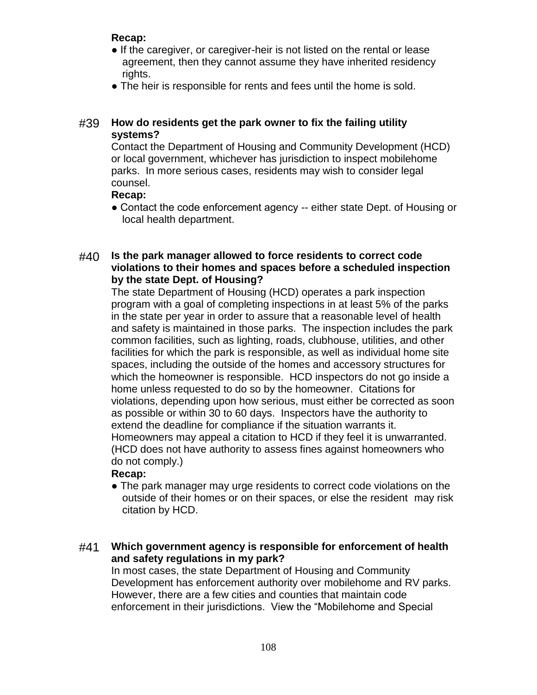- If the caregiver, or caregiver-heir is not listed on the rental or lease agreement, then they cannot assume they have inherited residency rights.
- The heir is responsible for rents and fees until the home is sold.

## #39 **How do residents get the park owner to fix the failing utility systems?**

Contact the Department of Housing and Community Development (HCD) or local government, whichever has jurisdiction to inspect mobilehome parks. In more serious cases, residents may wish to consider legal counsel.

## **Recap:**

• Contact the code enforcement agency -- either state Dept. of Housing or local health department.

### #40 **Is the park manager allowed to force residents to correct code violations to their homes and spaces before a scheduled inspection by the state Dept. of Housing?**

The state Department of Housing (HCD) operates a park inspection program with a goal of completing inspections in at least 5% of the parks in the state per year in order to assure that a reasonable level of health and safety is maintained in those parks. The inspection includes the park common facilities, such as lighting, roads, clubhouse, utilities, and other facilities for which the park is responsible, as well as individual home site spaces, including the outside of the homes and accessory structures for which the homeowner is responsible. HCD inspectors do not go inside a home unless requested to do so by the homeowner. Citations for violations, depending upon how serious, must either be corrected as soon as possible or within 30 to 60 days. Inspectors have the authority to extend the deadline for compliance if the situation warrants it. Homeowners may appeal a citation to HCD if they feel it is unwarranted. (HCD does not have authority to assess fines against homeowners who do not comply.)

# **Recap:**

• The park manager may urge residents to correct code violations on the outside of their homes or on their spaces, or else the resident may risk citation by HCD.

### #41 **Which government agency is responsible for enforcement of health and safety regulations in my park?**

In most cases, the state Department of Housing and Community Development has enforcement authority over mobilehome and RV parks. However, there are a few cities and counties that maintain code enforcement in their jurisdictions. View the "Mobilehome and Special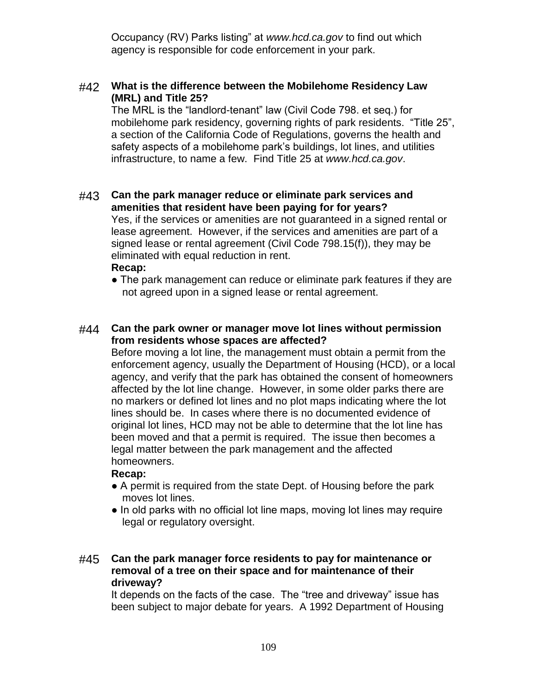Occupancy (RV) Parks listing" at *www.hcd.ca.gov* to find out which agency is responsible for code enforcement in your park.

### #42 **What is the difference between the Mobilehome Residency Law (MRL) and Title 25?**

The MRL is the "landlord-tenant" law (Civil Code 798. et seq.) for mobilehome park residency, governing rights of park residents. "Title 25", a section of the California Code of Regulations, governs the health and safety aspects of a mobilehome park's buildings, lot lines, and utilities infrastructure, to name a few. Find Title 25 at *www.hcd.ca.gov*.

#### #43 **Can the park manager reduce or eliminate park services and amenities that resident have been paying for for years?** Yes, if the services or amenities are not guaranteed in a signed rental or lease agreement. However, if the services and amenities are part of a signed lease or rental agreement (Civil Code 798.15(f)), they may be eliminated with equal reduction in rent.

#### **Recap:**

• The park management can reduce or eliminate park features if they are not agreed upon in a signed lease or rental agreement.

### #44 **Can the park owner or manager move lot lines without permission from residents whose spaces are affected?**

Before moving a lot line, the management must obtain a permit from the enforcement agency, usually the Department of Housing (HCD), or a local agency, and verify that the park has obtained the consent of homeowners affected by the lot line change. However, in some older parks there are no markers or defined lot lines and no plot maps indicating where the lot lines should be. In cases where there is no documented evidence of original lot lines, HCD may not be able to determine that the lot line has been moved and that a permit is required. The issue then becomes a legal matter between the park management and the affected homeowners.

### **Recap:**

- A permit is required from the state Dept. of Housing before the park moves lot lines.
- In old parks with no official lot line maps, moving lot lines may require legal or regulatory oversight.

### #45 **Can the park manager force residents to pay for maintenance or removal of a tree on their space and for maintenance of their driveway?**

It depends on the facts of the case. The "tree and driveway" issue has been subject to major debate for years. A 1992 Department of Housing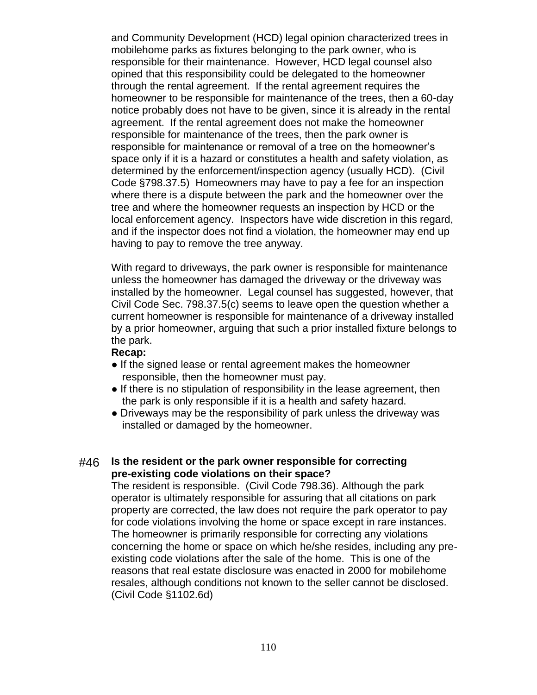and Community Development (HCD) legal opinion characterized trees in mobilehome parks as fixtures belonging to the park owner, who is responsible for their maintenance. However, HCD legal counsel also opined that this responsibility could be delegated to the homeowner through the rental agreement. If the rental agreement requires the homeowner to be responsible for maintenance of the trees, then a 60-day notice probably does not have to be given, since it is already in the rental agreement. If the rental agreement does not make the homeowner responsible for maintenance of the trees, then the park owner is responsible for maintenance or removal of a tree on the homeowner's space only if it is a hazard or constitutes a health and safety violation, as determined by the enforcement/inspection agency (usually HCD). (Civil Code §798.37.5) Homeowners may have to pay a fee for an inspection where there is a dispute between the park and the homeowner over the tree and where the homeowner requests an inspection by HCD or the local enforcement agency. Inspectors have wide discretion in this regard, and if the inspector does not find a violation, the homeowner may end up having to pay to remove the tree anyway.

With regard to driveways, the park owner is responsible for maintenance unless the homeowner has damaged the driveway or the driveway was installed by the homeowner. Legal counsel has suggested, however, that Civil Code Sec. 798.37.5(c) seems to leave open the question whether a current homeowner is responsible for maintenance of a driveway installed by a prior homeowner, arguing that such a prior installed fixture belongs to the park.

#### **Recap:**

- If the signed lease or rental agreement makes the homeowner responsible, then the homeowner must pay.
- If there is no stipulation of responsibility in the lease agreement, then the park is only responsible if it is a health and safety hazard.
- Driveways may be the responsibility of park unless the driveway was installed or damaged by the homeowner.

### #46 **Is the resident or the park owner responsible for correcting pre-existing code violations on their space?**

The resident is responsible. (Civil Code 798.36). Although the park operator is ultimately responsible for assuring that all citations on park property are corrected, the law does not require the park operator to pay for code violations involving the home or space except in rare instances. The homeowner is primarily responsible for correcting any violations concerning the home or space on which he/she resides, including any preexisting code violations after the sale of the home. This is one of the reasons that real estate disclosure was enacted in 2000 for mobilehome resales, although conditions not known to the seller cannot be disclosed. (Civil Code §1102.6d)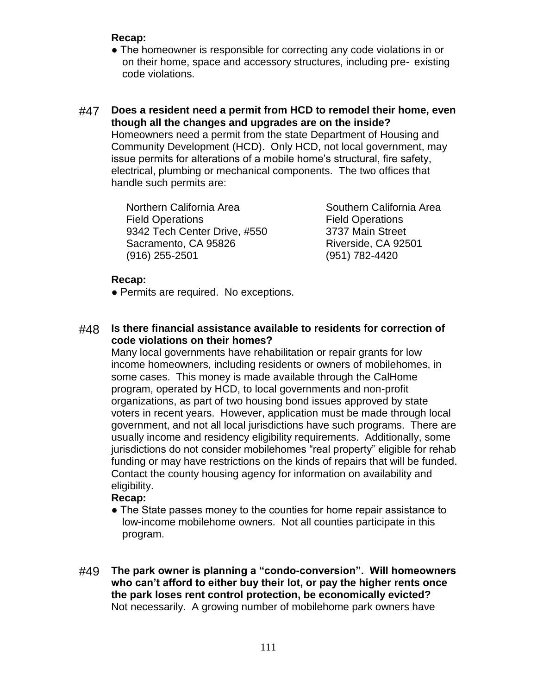- The homeowner is responsible for correcting any code violations in or on their home, space and accessory structures, including pre- existing code violations.
- #47 **Does a resident need a permit from HCD to remodel their home, even though all the changes and upgrades are on the inside?** Homeowners need a permit from the state Department of Housing and Community Development (HCD). Only HCD, not local government, may issue permits for alterations of a mobile home's structural, fire safety, electrical, plumbing or mechanical components. The two offices that handle such permits are:

Northern California Area **Southern California Area** Field Operations Field Operations 9342 Tech Center Drive, #550 3737 Main Street Sacramento, CA 95826 Riverside, CA 92501 (916) 255-2501 (951) 782-4420

### **Recap:**

• Permits are required. No exceptions.

#48 **Is there financial assistance available to residents for correction of code violations on their homes?**

Many local governments have rehabilitation or repair grants for low income homeowners, including residents or owners of mobilehomes, in some cases. This money is made available through the CalHome program, operated by HCD, to local governments and non-profit organizations, as part of two housing bond issues approved by state voters in recent years. However, application must be made through local government, and not all local jurisdictions have such programs. There are usually income and residency eligibility requirements. Additionally, some jurisdictions do not consider mobilehomes "real property" eligible for rehab funding or may have restrictions on the kinds of repairs that will be funded. Contact the county housing agency for information on availability and eligibility.

- The State passes money to the counties for home repair assistance to low-income mobilehome owners. Not all counties participate in this program.
- #49 **The park owner is planning a "condo-conversion". Will homeowners who can't afford to either buy their lot, or pay the higher rents once the park loses rent control protection, be economically evicted?** Not necessarily. A growing number of mobilehome park owners have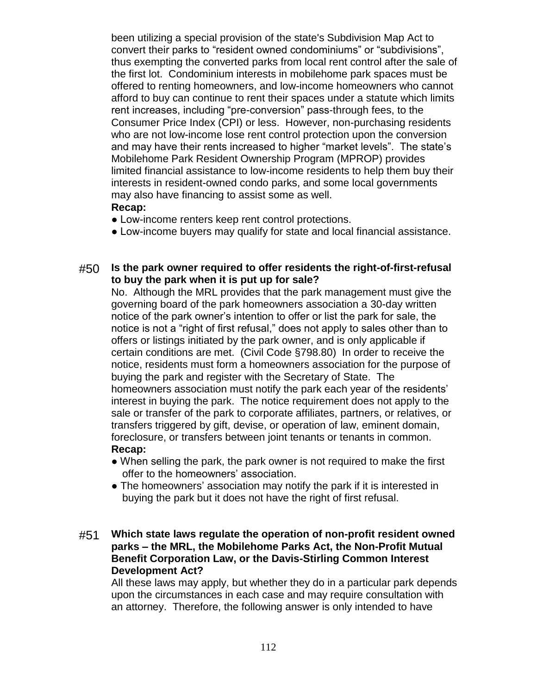been utilizing a special provision of the state's Subdivision Map Act to convert their parks to "resident owned condominiums" or "subdivisions", thus exempting the converted parks from local rent control after the sale of the first lot. Condominium interests in mobilehome park spaces must be offered to renting homeowners, and low-income homeowners who cannot afford to buy can continue to rent their spaces under a statute which limits rent increases, including "pre-conversion" pass-through fees, to the Consumer Price Index (CPI) or less. However, non-purchasing residents who are not low-income lose rent control protection upon the conversion and may have their rents increased to higher "market levels". The state's Mobilehome Park Resident Ownership Program (MPROP) provides limited financial assistance to low-income residents to help them buy their interests in resident-owned condo parks, and some local governments may also have financing to assist some as well. **Recap:**

- Low-income renters keep rent control protections.
- Low-income buyers may qualify for state and local financial assistance.

### #50 **Is the park owner required to offer residents the right-of-first-refusal to buy the park when it is put up for sale?**

No. Although the MRL provides that the park management must give the governing board of the park homeowners association a 30-day written notice of the park owner's intention to offer or list the park for sale, the notice is not a "right of first refusal," does not apply to sales other than to offers or listings initiated by the park owner, and is only applicable if certain conditions are met. (Civil Code §798.80) In order to receive the notice, residents must form a homeowners association for the purpose of buying the park and register with the Secretary of State. The homeowners association must notify the park each year of the residents' interest in buying the park. The notice requirement does not apply to the sale or transfer of the park to corporate affiliates, partners, or relatives, or transfers triggered by gift, devise, or operation of law, eminent domain, foreclosure, or transfers between joint tenants or tenants in common. **Recap:**

- When selling the park, the park owner is not required to make the first offer to the homeowners' association.
- The homeowners' association may notify the park if it is interested in buying the park but it does not have the right of first refusal.

#### #51 **Which state laws regulate the operation of non-profit resident owned parks – the MRL, the Mobilehome Parks Act, the Non-Profit Mutual Benefit Corporation Law, or the Davis-Stirling Common Interest Development Act?**

All these laws may apply, but whether they do in a particular park depends upon the circumstances in each case and may require consultation with an attorney. Therefore, the following answer is only intended to have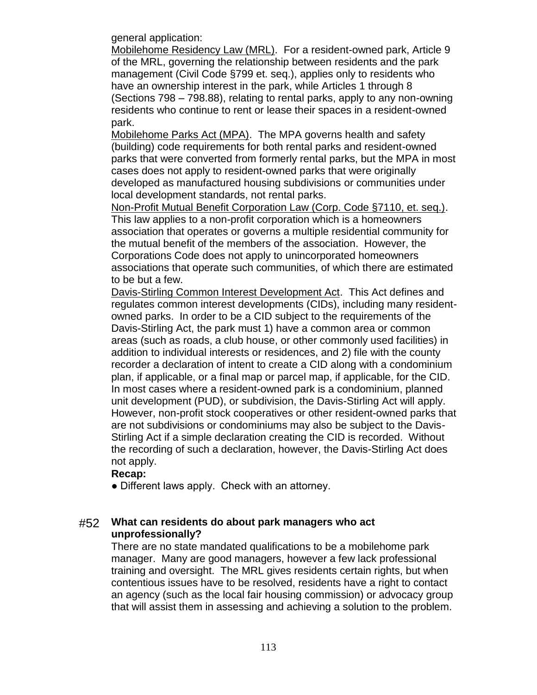general application:

Mobilehome Residency Law (MRL). For a resident-owned park, Article 9 of the MRL, governing the relationship between residents and the park management (Civil Code §799 et. seq.), applies only to residents who have an ownership interest in the park, while Articles 1 through 8 (Sections 798 – 798.88), relating to rental parks, apply to any non-owning residents who continue to rent or lease their spaces in a resident-owned park.

Mobilehome Parks Act (MPA). The MPA governs health and safety (building) code requirements for both rental parks and resident-owned parks that were converted from formerly rental parks, but the MPA in most cases does not apply to resident-owned parks that were originally developed as manufactured housing subdivisions or communities under local development standards, not rental parks.

Non-Profit Mutual Benefit Corporation Law (Corp. Code §7110, et. seq.). This law applies to a non-profit corporation which is a homeowners association that operates or governs a multiple residential community for the mutual benefit of the members of the association. However, the Corporations Code does not apply to unincorporated homeowners associations that operate such communities, of which there are estimated to be but a few.

Davis-Stirling Common Interest Development Act. This Act defines and regulates common interest developments (CIDs), including many residentowned parks. In order to be a CID subject to the requirements of the Davis-Stirling Act, the park must 1) have a common area or common areas (such as roads, a club house, or other commonly used facilities) in addition to individual interests or residences, and 2) file with the county recorder a declaration of intent to create a CID along with a condominium plan, if applicable, or a final map or parcel map, if applicable, for the CID. In most cases where a resident-owned park is a condominium, planned unit development (PUD), or subdivision, the Davis-Stirling Act will apply. However, non-profit stock cooperatives or other resident-owned parks that are not subdivisions or condominiums may also be subject to the Davis-Stirling Act if a simple declaration creating the CID is recorded. Without the recording of such a declaration, however, the Davis-Stirling Act does not apply.

### **Recap:**

• Different laws apply. Check with an attorney.

### #52 **What can residents do about park managers who act unprofessionally?**

There are no state mandated qualifications to be a mobilehome park manager. Many are good managers, however a few lack professional training and oversight. The MRL gives residents certain rights, but when contentious issues have to be resolved, residents have a right to contact an agency (such as the local fair housing commission) or advocacy group that will assist them in assessing and achieving a solution to the problem.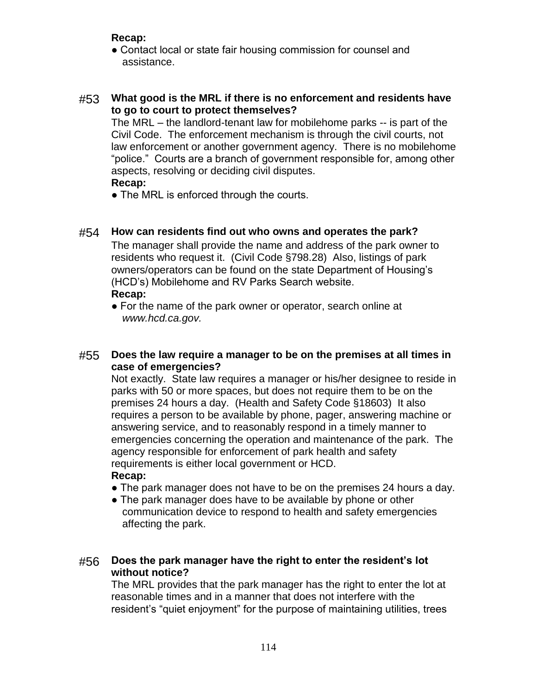• Contact local or state fair housing commission for counsel and assistance.

### #53 **What good is the MRL if there is no enforcement and residents have to go to court to protect themselves?**

The MRL – the landlord-tenant law for mobilehome parks -- is part of the Civil Code. The enforcement mechanism is through the civil courts, not law enforcement or another government agency. There is no mobilehome "police." Courts are a branch of government responsible for, among other aspects, resolving or deciding civil disputes.

#### **Recap:**

• The MRL is enforced through the courts.

### #54 **How can residents find out who owns and operates the park?**

The manager shall provide the name and address of the park owner to residents who request it. (Civil Code §798.28) Also, listings of park owners/operators can be found on the state Department of Housing's (HCD's) Mobilehome and RV Parks Search website.

### **Recap:**

• For the name of the park owner or operator, search online at *www.hcd.ca.gov.*

### #55 **Does the law require a manager to be on the premises at all times in case of emergencies?**

Not exactly. State law requires a manager or his/her designee to reside in parks with 50 or more spaces, but does not require them to be on the premises 24 hours a day. (Health and Safety Code §18603) It also requires a person to be available by phone, pager, answering machine or answering service, and to reasonably respond in a timely manner to emergencies concerning the operation and maintenance of the park. The agency responsible for enforcement of park health and safety requirements is either local government or HCD.

### **Recap:**

- The park manager does not have to be on the premises 24 hours a day.
- The park manager does have to be available by phone or other communication device to respond to health and safety emergencies affecting the park.

### #56 **Does the park manager have the right to enter the resident's lot without notice?**

The MRL provides that the park manager has the right to enter the lot at reasonable times and in a manner that does not interfere with the resident's "quiet enjoyment" for the purpose of maintaining utilities, trees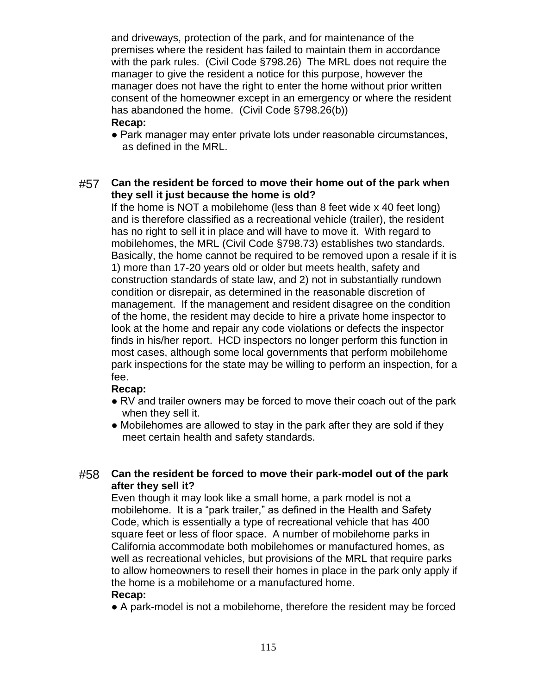and driveways, protection of the park, and for maintenance of the premises where the resident has failed to maintain them in accordance with the park rules. (Civil Code §798.26) The MRL does not require the manager to give the resident a notice for this purpose, however the manager does not have the right to enter the home without prior written consent of the homeowner except in an emergency or where the resident has abandoned the home. (Civil Code §798.26(b))

### **Recap:**

● Park manager may enter private lots under reasonable circumstances, as defined in the MRL.

### #57 **Can the resident be forced to move their home out of the park when they sell it just because the home is old?**

If the home is NOT a mobilehome (less than 8 feet wide x 40 feet long) and is therefore classified as a recreational vehicle (trailer), the resident has no right to sell it in place and will have to move it. With regard to mobilehomes, the MRL (Civil Code §798.73) establishes two standards. Basically, the home cannot be required to be removed upon a resale if it is 1) more than 17-20 years old or older but meets health, safety and construction standards of state law, and 2) not in substantially rundown condition or disrepair, as determined in the reasonable discretion of management. If the management and resident disagree on the condition of the home, the resident may decide to hire a private home inspector to look at the home and repair any code violations or defects the inspector finds in his/her report. HCD inspectors no longer perform this function in most cases, although some local governments that perform mobilehome park inspections for the state may be willing to perform an inspection, for a fee.

### **Recap:**

- RV and trailer owners may be forced to move their coach out of the park when they sell it.
- Mobilehomes are allowed to stay in the park after they are sold if they meet certain health and safety standards.

### #58 **Can the resident be forced to move their park-model out of the park after they sell it?**

Even though it may look like a small home, a park model is not a mobilehome. It is a "park trailer," as defined in the Health and Safety Code, which is essentially a type of recreational vehicle that has 400 square feet or less of floor space. A number of mobilehome parks in California accommodate both mobilehomes or manufactured homes, as well as recreational vehicles, but provisions of the MRL that require parks to allow homeowners to resell their homes in place in the park only apply if the home is a mobilehome or a manufactured home. **Recap:**

● A park-model is not a mobilehome, therefore the resident may be forced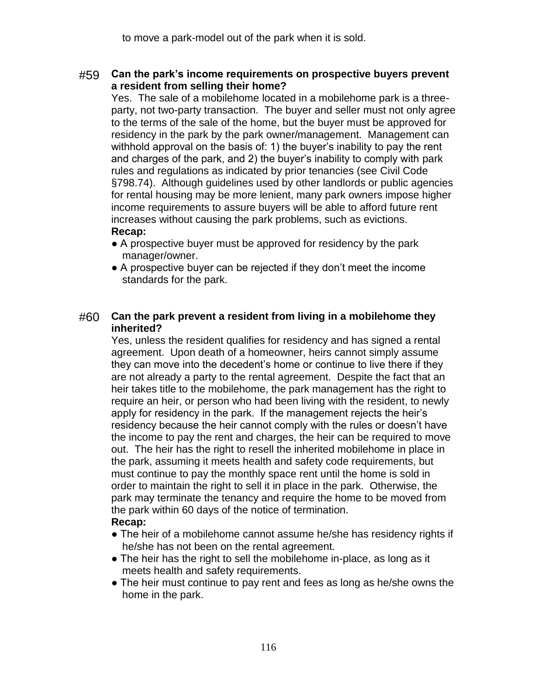### #59 **Can the park's income requirements on prospective buyers prevent a resident from selling their home?**

Yes. The sale of a mobilehome located in a mobilehome park is a threeparty, not two-party transaction. The buyer and seller must not only agree to the terms of the sale of the home, but the buyer must be approved for residency in the park by the park owner/management. Management can withhold approval on the basis of: 1) the buyer's inability to pay the rent and charges of the park, and 2) the buyer's inability to comply with park rules and regulations as indicated by prior tenancies (see Civil Code §798.74). Although guidelines used by other landlords or public agencies for rental housing may be more lenient, many park owners impose higher income requirements to assure buyers will be able to afford future rent increases without causing the park problems, such as evictions. **Recap:**

- A prospective buyer must be approved for residency by the park manager/owner.
- A prospective buyer can be rejected if they don't meet the income standards for the park.

### #60 **Can the park prevent a resident from living in a mobilehome they inherited?**

Yes, unless the resident qualifies for residency and has signed a rental agreement. Upon death of a homeowner, heirs cannot simply assume they can move into the decedent's home or continue to live there if they are not already a party to the rental agreement. Despite the fact that an heir takes title to the mobilehome, the park management has the right to require an heir, or person who had been living with the resident, to newly apply for residency in the park. If the management rejects the heir's residency because the heir cannot comply with the rules or doesn't have the income to pay the rent and charges, the heir can be required to move out. The heir has the right to resell the inherited mobilehome in place in the park, assuming it meets health and safety code requirements, but must continue to pay the monthly space rent until the home is sold in order to maintain the right to sell it in place in the park. Otherwise, the park may terminate the tenancy and require the home to be moved from the park within 60 days of the notice of termination.

- The heir of a mobilehome cannot assume he/she has residency rights if he/she has not been on the rental agreement.
- The heir has the right to sell the mobilehome in-place, as long as it meets health and safety requirements.
- The heir must continue to pay rent and fees as long as he/she owns the home in the park.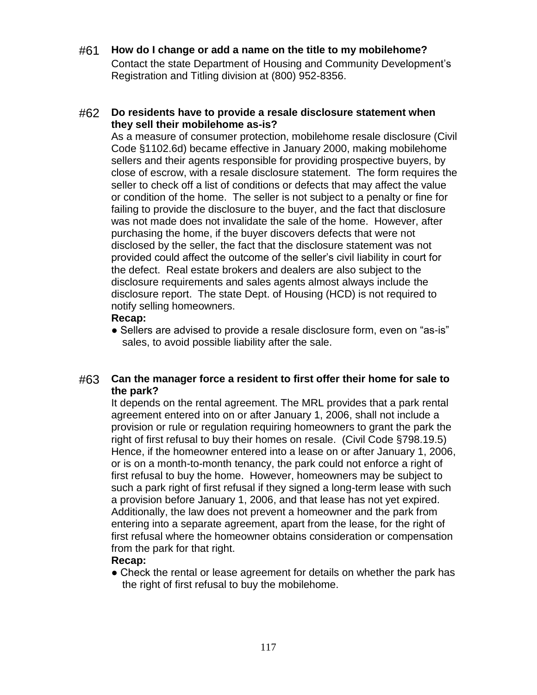### #61 **How do I change or add a name on the title to my mobilehome?**

Contact the state Department of Housing and Community Development's Registration and Titling division at (800) 952-8356.

### #62 **Do residents have to provide a resale disclosure statement when they sell their mobilehome as-is?**

As a measure of consumer protection, mobilehome resale disclosure (Civil Code §1102.6d) became effective in January 2000, making mobilehome sellers and their agents responsible for providing prospective buyers, by close of escrow, with a resale disclosure statement. The form requires the seller to check off a list of conditions or defects that may affect the value or condition of the home. The seller is not subject to a penalty or fine for failing to provide the disclosure to the buyer, and the fact that disclosure was not made does not invalidate the sale of the home. However, after purchasing the home, if the buyer discovers defects that were not disclosed by the seller, the fact that the disclosure statement was not provided could affect the outcome of the seller's civil liability in court for the defect. Real estate brokers and dealers are also subject to the disclosure requirements and sales agents almost always include the disclosure report. The state Dept. of Housing (HCD) is not required to notify selling homeowners.

#### **Recap:**

• Sellers are advised to provide a resale disclosure form, even on "as-is" sales, to avoid possible liability after the sale.

### #63 **Can the manager force a resident to first offer their home for sale to the park?**

It depends on the rental agreement. The MRL provides that a park rental agreement entered into on or after January 1, 2006, shall not include a provision or rule or regulation requiring homeowners to grant the park the right of first refusal to buy their homes on resale. (Civil Code §798.19.5) Hence, if the homeowner entered into a lease on or after January 1, 2006, or is on a month-to-month tenancy, the park could not enforce a right of first refusal to buy the home. However, homeowners may be subject to such a park right of first refusal if they signed a long-term lease with such a provision before January 1, 2006, and that lease has not yet expired. Additionally, the law does not prevent a homeowner and the park from entering into a separate agreement, apart from the lease, for the right of first refusal where the homeowner obtains consideration or compensation from the park for that right.

### **Recap:**

• Check the rental or lease agreement for details on whether the park has the right of first refusal to buy the mobilehome.